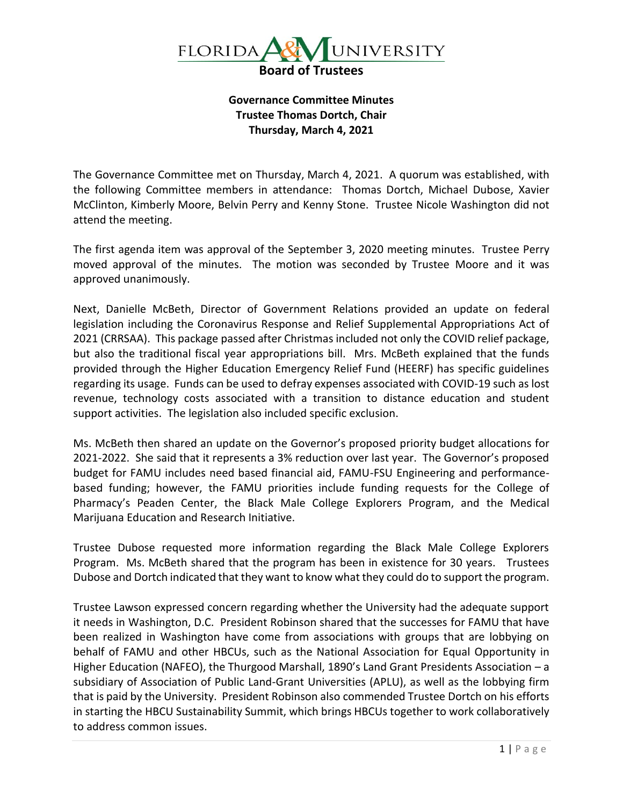

**Governance Committee Minutes Trustee Thomas Dortch, Chair Thursday, March 4, 2021**

The Governance Committee met on Thursday, March 4, 2021. A quorum was established, with the following Committee members in attendance: Thomas Dortch, Michael Dubose, Xavier McClinton, Kimberly Moore, Belvin Perry and Kenny Stone. Trustee Nicole Washington did not attend the meeting.

The first agenda item was approval of the September 3, 2020 meeting minutes. Trustee Perry moved approval of the minutes. The motion was seconded by Trustee Moore and it was approved unanimously.

Next, Danielle McBeth, Director of Government Relations provided an update on federal legislation including the Coronavirus Response and Relief Supplemental Appropriations Act of 2021 (CRRSAA). This package passed after Christmas included not only the COVID relief package, but also the traditional fiscal year appropriations bill. Mrs. McBeth explained that the funds provided through the Higher Education Emergency Relief Fund (HEERF) has specific guidelines regarding its usage. Funds can be used to defray expenses associated with COVID-19 such as lost revenue, technology costs associated with a transition to distance education and student support activities. The legislation also included specific exclusion.

Ms. McBeth then shared an update on the Governor's proposed priority budget allocations for 2021-2022. She said that it represents a 3% reduction over last year. The Governor's proposed budget for FAMU includes need based financial aid, FAMU-FSU Engineering and performancebased funding; however, the FAMU priorities include funding requests for the College of Pharmacy's Peaden Center, the Black Male College Explorers Program, and the Medical Marijuana Education and Research Initiative.

Trustee Dubose requested more information regarding the Black Male College Explorers Program. Ms. McBeth shared that the program has been in existence for 30 years. Trustees Dubose and Dortch indicated that they want to know what they could do to support the program.

Trustee Lawson expressed concern regarding whether the University had the adequate support it needs in Washington, D.C. President Robinson shared that the successes for FAMU that have been realized in Washington have come from associations with groups that are lobbying on behalf of FAMU and other HBCUs, such as the National Association for Equal Opportunity in Higher Education (NAFEO), the Thurgood Marshall, 1890's Land Grant Presidents Association – a subsidiary of Association of Public Land-Grant Universities (APLU), as well as the lobbying firm that is paid by the University. President Robinson also commended Trustee Dortch on his efforts in starting the HBCU Sustainability Summit, which brings HBCUs together to work collaboratively to address common issues.